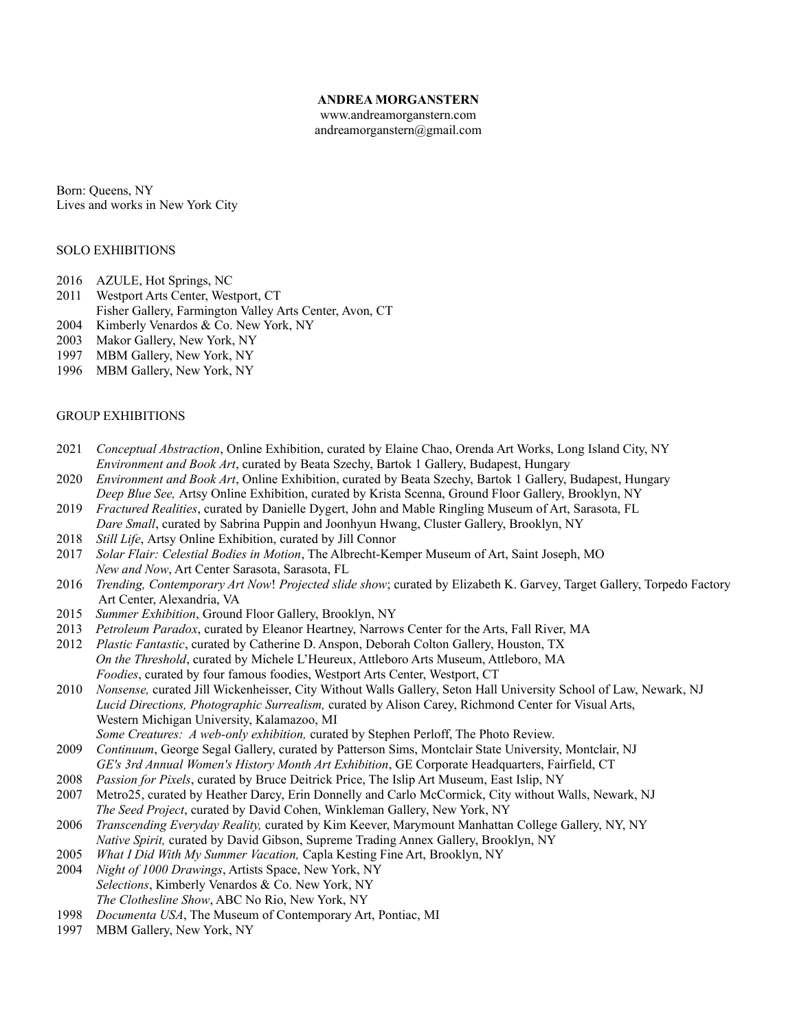# **ANDREA MORGANSTERN**

www.andreamorganstern.com andreamorganstern@gmail.com

Born: Queens, NY Lives and works in New York City

## SOLO EXHIBITIONS

- 2016 AZULE, Hot Springs, NC
- 2011 Westport Arts Center, Westport, CT
- Fisher Gallery, Farmington Valley Arts Center, Avon, CT
- 2004 Kimberly Venardos & Co. New York, NY
- 2003 Makor Gallery, New York, NY
- 1997 MBM Gallery, New York, NY
- 1996 MBM Gallery, New York, NY

## GROUP EXHIBITIONS

- 2021 *Conceptual Abstraction*, Online Exhibition, curated by Elaine Chao, Orenda Art Works, Long Island City, NY *Environment and Book Art*, curated by Beata Szechy, Bartok 1 Gallery, Budapest, Hungary
- 2020 *Environment and Book Art*, Online Exhibition, curated by Beata Szechy, Bartok 1 Gallery, Budapest, Hungary *Deep Blue See,* Artsy Online Exhibition, curated by Krista Scenna, Ground Floor Gallery, Brooklyn, NY
- 2019 *Fractured Realities*, curated by Danielle Dygert, John and Mable Ringling Museum of Art, Sarasota, FL *Dare Small*, curated by Sabrina Puppin and Joonhyun Hwang, Cluster Gallery, Brooklyn, NY
- 2018 *Still Life*, Artsy Online Exhibition, curated by Jill Connor
- 2017 *Solar Flair: Celestial Bodies in Motion*, The Albrecht-Kemper Museum of Art, Saint Joseph, MO *New and Now*, Art Center Sarasota, Sarasota, FL
- 2016 *Trending, Contemporary Art Now*! *Projected slide show*; curated by Elizabeth K. Garvey, Target Gallery, Torpedo Factory Art Center, Alexandria, VA
- 2015 *Summer Exhibition*, Ground Floor Gallery, Brooklyn, NY
- 2013 *Petroleum Paradox*, curated by Eleanor Heartney, Narrows Center for the Arts, Fall River, MA
- 2012 *Plastic Fantastic*, curated by Catherine D. Anspon, Deborah Colton Gallery, Houston, TX *On the Threshold*, curated by Michele L'Heureux, Attleboro Arts Museum, Attleboro, MA *Foodies*, curated by four famous foodies, Westport Arts Center, Westport, CT
- 2010 *Nonsense,* curated Jill Wickenheisser, City Without Walls Gallery, Seton Hall University School of Law, Newark, NJ *Lucid Directions, Photographic Surrealism,* curated by Alison Carey, Richmond Center for Visual Arts, Western Michigan University, Kalamazoo, MI

*Some Creatures: A web-only exhibition,* curated by Stephen Perloff, The Photo Review. 2009 *Continuum*, George Segal Gallery, curated by Patterson Sims, Montclair State University, Montclair, NJ

- *GE's 3rd Annual Women's History Month Art Exhibition*, GE Corporate Headquarters, Fairfield, CT
- 2008 *Passion for Pixels*, curated by Bruce Deitrick Price, The Islip Art Museum, East Islip, NY
- 2007 Metro25, curated by Heather Darcy, Erin Donnelly and Carlo McCormick, City without Walls, Newark, NJ  *The Seed Project*, curated by David Cohen, Winkleman Gallery, New York, NY
- 2006 *Transcending Everyday Reality,* curated by Kim Keever, Marymount Manhattan College Gallery, NY, NY *Native Spirit,* curated by David Gibson, Supreme Trading Annex Gallery, Brooklyn, NY
- 2005 *What I Did With My Summer Vacation,* Capla Kesting Fine Art, Brooklyn, NY
- 2004 *Night of 1000 Drawings*, Artists Space, New York, NY *Selections*, Kimberly Venardos & Co. New York, NY *The Clothesline Show*, ABC No Rio, New York, NY
- 1998 *Documenta USA*, The Museum of Contemporary Art, Pontiac, MI
- 1997 MBM Gallery, New York, NY